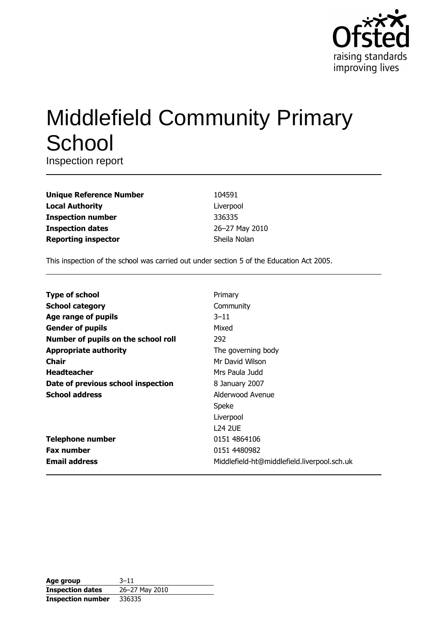

# **Middlefield Community Primary** School

Inspection report

| <b>Unique Reference Number</b> |
|--------------------------------|
| <b>Local Authority</b>         |
| <b>Inspection number</b>       |
| <b>Inspection dates</b>        |
| <b>Reporting inspector</b>     |

104591 Liverpool 336335 26-27 May 2010 Sheila Nolan

This inspection of the school was carried out under section 5 of the Education Act 2005.

| <b>Type of school</b>               | Primary                                     |
|-------------------------------------|---------------------------------------------|
| <b>School category</b>              | Community                                   |
| Age range of pupils                 | $3 - 11$                                    |
| <b>Gender of pupils</b>             | Mixed                                       |
| Number of pupils on the school roll | 292                                         |
| <b>Appropriate authority</b>        | The governing body                          |
| <b>Chair</b>                        | Mr David Wilson                             |
| <b>Headteacher</b>                  | Mrs Paula Judd                              |
| Date of previous school inspection  | 8 January 2007                              |
| <b>School address</b>               | Alderwood Avenue                            |
|                                     | Speke                                       |
|                                     | Liverpool                                   |
|                                     | 124 2UE                                     |
| <b>Telephone number</b>             | 0151 4864106                                |
| <b>Fax number</b>                   | 0151 4480982                                |
| <b>Email address</b>                | Middlefield-ht@middlefield.liverpool.sch.uk |

| Age group                | $3 - 11$       |
|--------------------------|----------------|
| <b>Inspection dates</b>  | 26-27 May 2010 |
| <b>Inspection number</b> | 336335         |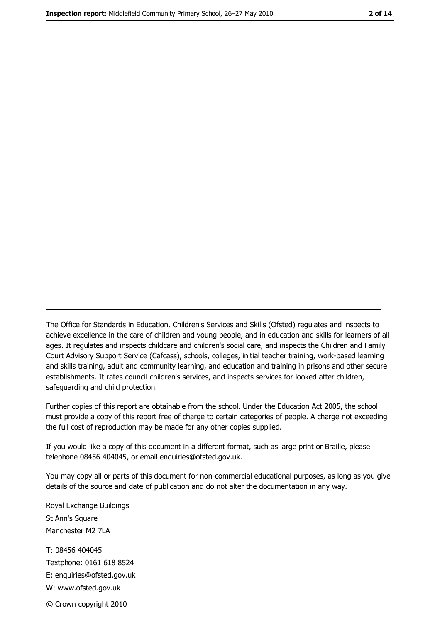The Office for Standards in Education, Children's Services and Skills (Ofsted) regulates and inspects to achieve excellence in the care of children and young people, and in education and skills for learners of all ages. It regulates and inspects childcare and children's social care, and inspects the Children and Family Court Advisory Support Service (Cafcass), schools, colleges, initial teacher training, work-based learning and skills training, adult and community learning, and education and training in prisons and other secure establishments. It rates council children's services, and inspects services for looked after children, safequarding and child protection.

Further copies of this report are obtainable from the school. Under the Education Act 2005, the school must provide a copy of this report free of charge to certain categories of people. A charge not exceeding the full cost of reproduction may be made for any other copies supplied.

If you would like a copy of this document in a different format, such as large print or Braille, please telephone 08456 404045, or email enquiries@ofsted.gov.uk.

You may copy all or parts of this document for non-commercial educational purposes, as long as you give details of the source and date of publication and do not alter the documentation in any way.

Royal Exchange Buildings St Ann's Square Manchester M2 7LA T: 08456 404045 Textphone: 0161 618 8524 E: enquiries@ofsted.gov.uk W: www.ofsted.gov.uk © Crown copyright 2010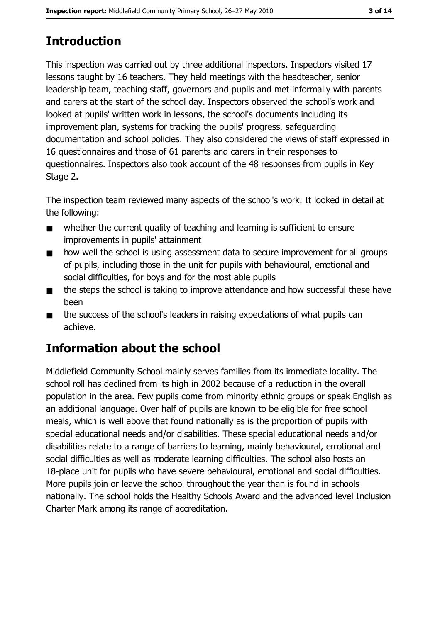# **Introduction**

This inspection was carried out by three additional inspectors. Inspectors visited 17 lessons taught by 16 teachers. They held meetings with the headteacher, senior leadership team, teaching staff, governors and pupils and met informally with parents and carers at the start of the school day. Inspectors observed the school's work and looked at pupils' written work in lessons, the school's documents including its improvement plan, systems for tracking the pupils' progress, safeguarding documentation and school policies. They also considered the views of staff expressed in 16 questionnaires and those of 61 parents and carers in their responses to questionnaires. Inspectors also took account of the 48 responses from pupils in Key Stage 2.

The inspection team reviewed many aspects of the school's work. It looked in detail at the following:

- whether the current quality of teaching and learning is sufficient to ensure  $\blacksquare$ improvements in pupils' attainment
- how well the school is using assessment data to secure improvement for all groups  $\blacksquare$ of pupils, including those in the unit for pupils with behavioural, emotional and social difficulties, for boys and for the most able pupils
- the steps the school is taking to improve attendance and how successful these have  $\blacksquare$ been
- the success of the school's leaders in raising expectations of what pupils can  $\blacksquare$ achieve.

# **Information about the school**

Middlefield Community School mainly serves families from its immediate locality. The school roll has declined from its high in 2002 because of a reduction in the overall population in the area. Few pupils come from minority ethnic groups or speak English as an additional language. Over half of pupils are known to be eligible for free school meals, which is well above that found nationally as is the proportion of pupils with special educational needs and/or disabilities. These special educational needs and/or disabilities relate to a range of barriers to learning, mainly behavioural, emotional and social difficulties as well as moderate learning difficulties. The school also hosts an 18-place unit for pupils who have severe behavioural, emotional and social difficulties. More pupils join or leave the school throughout the year than is found in schools nationally. The school holds the Healthy Schools Award and the advanced level Inclusion Charter Mark among its range of accreditation.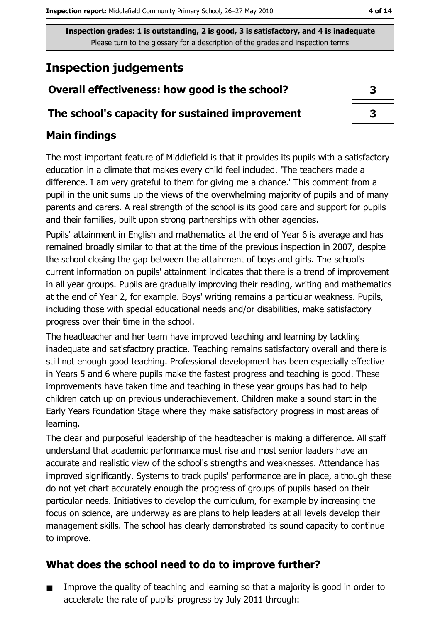# **Inspection judgements**

## Overall effectiveness: how good is the school?

#### The school's capacity for sustained improvement

### **Main findings**

The most important feature of Middlefield is that it provides its pupils with a satisfactory education in a climate that makes every child feel included. The teachers made a difference. I am very grateful to them for giving me a chance.' This comment from a pupil in the unit sums up the views of the overwhelming majority of pupils and of many parents and carers. A real strength of the school is its good care and support for pupils and their families, built upon strong partnerships with other agencies.

Pupils' attainment in English and mathematics at the end of Year 6 is average and has remained broadly similar to that at the time of the previous inspection in 2007, despite the school closing the gap between the attainment of boys and girls. The school's current information on pupils' attainment indicates that there is a trend of improvement in all year groups. Pupils are gradually improving their reading, writing and mathematics at the end of Year 2, for example. Boys' writing remains a particular weakness. Pupils, including those with special educational needs and/or disabilities, make satisfactory progress over their time in the school.

The headteacher and her team have improved teaching and learning by tackling inadequate and satisfactory practice. Teaching remains satisfactory overall and there is still not enough good teaching. Professional development has been especially effective in Years 5 and 6 where pupils make the fastest progress and teaching is good. These improvements have taken time and teaching in these year groups has had to help children catch up on previous underachievement. Children make a sound start in the Early Years Foundation Stage where they make satisfactory progress in most areas of learning.

The clear and purposeful leadership of the headteacher is making a difference. All staff understand that academic performance must rise and most senior leaders have an accurate and realistic view of the school's strengths and weaknesses. Attendance has improved significantly. Systems to track pupils' performance are in place, although these do not yet chart accurately enough the progress of groups of pupils based on their particular needs. Initiatives to develop the curriculum, for example by increasing the focus on science, are underway as are plans to help leaders at all levels develop their management skills. The school has clearly demonstrated its sound capacity to continue to improve.

## What does the school need to do to improve further?

Improve the quality of teaching and learning so that a majority is good in order to  $\blacksquare$ accelerate the rate of pupils' progress by July 2011 through: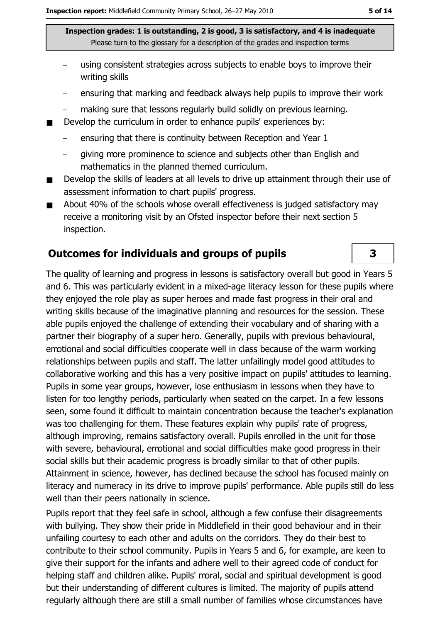- using consistent strategies across subjects to enable boys to improve their writing skills
- ensuring that marking and feedback always help pupils to improve their work
- making sure that lessons regularly build solidly on previous learning.  $\equiv$
- Develop the curriculum in order to enhance pupils' experiences by:
	- ensuring that there is continuity between Reception and Year 1
	- giving more prominence to science and subjects other than English and mathematics in the planned themed curriculum.
- Develop the skills of leaders at all levels to drive up attainment through their use of  $\blacksquare$ assessment information to chart pupils' progress.
- About 40% of the schools whose overall effectiveness is judged satisfactory may  $\blacksquare$ receive a monitoring visit by an Ofsted inspector before their next section 5 inspection.

#### **Outcomes for individuals and groups of pupils**

The quality of learning and progress in lessons is satisfactory overall but good in Years 5 and 6. This was particularly evident in a mixed-age literacy lesson for these pupils where they enjoyed the role play as super heroes and made fast progress in their oral and writing skills because of the imaginative planning and resources for the session. These able pupils enjoyed the challenge of extending their vocabulary and of sharing with a partner their biography of a super hero. Generally, pupils with previous behavioural, emotional and social difficulties cooperate well in class because of the warm working relationships between pupils and staff. The latter unfailingly model good attitudes to collaborative working and this has a very positive impact on pupils' attitudes to learning. Pupils in some year groups, however, lose enthusiasm in lessons when they have to listen for too lengthy periods, particularly when seated on the carpet. In a few lessons seen, some found it difficult to maintain concentration because the teacher's explanation was too challenging for them. These features explain why pupils' rate of progress, although improving, remains satisfactory overall. Pupils enrolled in the unit for those with severe, behavioural, emotional and social difficulties make good progress in their social skills but their academic progress is broadly similar to that of other pupils. Attainment in science, however, has declined because the school has focused mainly on literacy and numeracy in its drive to improve pupils' performance. Able pupils still do less well than their peers nationally in science.

Pupils report that they feel safe in school, although a few confuse their disagreements with bullying. They show their pride in Middlefield in their good behaviour and in their unfailing courtesy to each other and adults on the corridors. They do their best to contribute to their school community. Pupils in Years 5 and 6, for example, are keen to give their support for the infants and adhere well to their agreed code of conduct for helping staff and children alike. Pupils' moral, social and spiritual development is good but their understanding of different cultures is limited. The majority of pupils attend regularly although there are still a small number of families whose circumstances have

3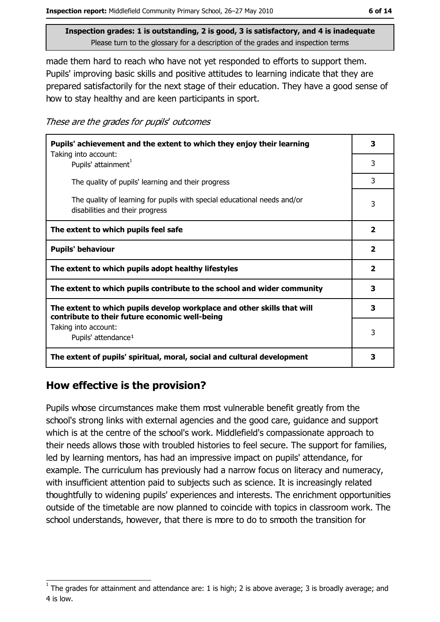made them hard to reach who have not yet responded to efforts to support them. Pupils' improving basic skills and positive attitudes to learning indicate that they are prepared satisfactorily for the next stage of their education. They have a good sense of how to stay healthy and are keen participants in sport.

These are the grades for pupils' outcomes

| Pupils' achievement and the extent to which they enjoy their learning                                                     |                         |
|---------------------------------------------------------------------------------------------------------------------------|-------------------------|
| Taking into account:<br>Pupils' attainment <sup>1</sup>                                                                   | 3                       |
| The quality of pupils' learning and their progress                                                                        | 3                       |
| The quality of learning for pupils with special educational needs and/or<br>disabilities and their progress               | 3                       |
| The extent to which pupils feel safe                                                                                      | $\overline{\mathbf{2}}$ |
| <b>Pupils' behaviour</b>                                                                                                  |                         |
| The extent to which pupils adopt healthy lifestyles                                                                       |                         |
| The extent to which pupils contribute to the school and wider community                                                   |                         |
| The extent to which pupils develop workplace and other skills that will<br>contribute to their future economic well-being |                         |
| Taking into account:<br>Pupils' attendance <sup>1</sup>                                                                   | 3                       |
| The extent of pupils' spiritual, moral, social and cultural development                                                   | з                       |

#### How effective is the provision?

Pupils whose circumstances make them most vulnerable benefit greatly from the school's strong links with external agencies and the good care, guidance and support which is at the centre of the school's work. Middlefield's compassionate approach to their needs allows those with troubled histories to feel secure. The support for families, led by learning mentors, has had an impressive impact on pupils' attendance, for example. The curriculum has previously had a narrow focus on literacy and numeracy, with insufficient attention paid to subjects such as science. It is increasingly related thoughtfully to widening pupils' experiences and interests. The enrichment opportunities outside of the timetable are now planned to coincide with topics in classroom work. The school understands, however, that there is more to do to smooth the transition for

The grades for attainment and attendance are: 1 is high; 2 is above average; 3 is broadly average; and 4 is low.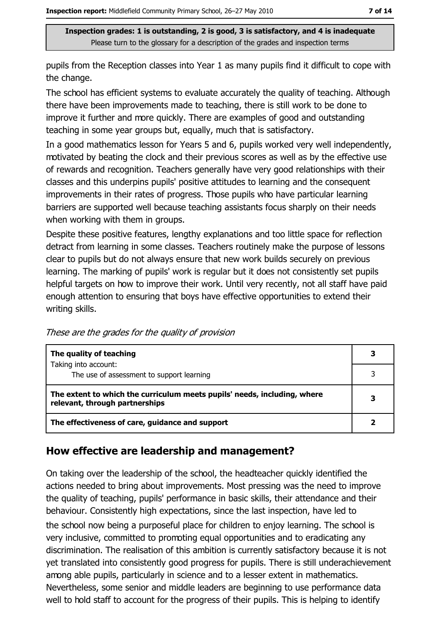pupils from the Reception classes into Year 1 as many pupils find it difficult to cope with the change.

The school has efficient systems to evaluate accurately the quality of teaching. Although there have been improvements made to teaching, there is still work to be done to improve it further and more quickly. There are examples of good and outstanding teaching in some year groups but, equally, much that is satisfactory.

In a good mathematics lesson for Years 5 and 6, pupils worked very well independently, motivated by beating the clock and their previous scores as well as by the effective use of rewards and recognition. Teachers generally have very good relationships with their classes and this underpins pupils' positive attitudes to learning and the consequent improvements in their rates of progress. Those pupils who have particular learning barriers are supported well because teaching assistants focus sharply on their needs when working with them in groups.

Despite these positive features, lengthy explanations and too little space for reflection detract from learning in some classes. Teachers routinely make the purpose of lessons clear to pupils but do not always ensure that new work builds securely on previous learning. The marking of pupils' work is regular but it does not consistently set pupils helpful targets on how to improve their work. Until very recently, not all staff have paid enough attention to ensuring that boys have effective opportunities to extend their writing skills.

These are the grades for the quality of provision

| The quality of teaching                                                                                    |  |
|------------------------------------------------------------------------------------------------------------|--|
| Taking into account:<br>The use of assessment to support learning                                          |  |
| The extent to which the curriculum meets pupils' needs, including, where<br>relevant, through partnerships |  |
| The effectiveness of care, guidance and support                                                            |  |

#### How effective are leadership and management?

On taking over the leadership of the school, the headteacher quickly identified the actions needed to bring about improvements. Most pressing was the need to improve the quality of teaching, pupils' performance in basic skills, their attendance and their behaviour. Consistently high expectations, since the last inspection, have led to the school now being a purposeful place for children to enjoy learning. The school is very inclusive, committed to promoting equal opportunities and to eradicating any discrimination. The realisation of this ambition is currently satisfactory because it is not yet translated into consistently good progress for pupils. There is still underachievement among able pupils, particularly in science and to a lesser extent in mathematics. Nevertheless, some senior and middle leaders are beginning to use performance data well to hold staff to account for the progress of their pupils. This is helping to identify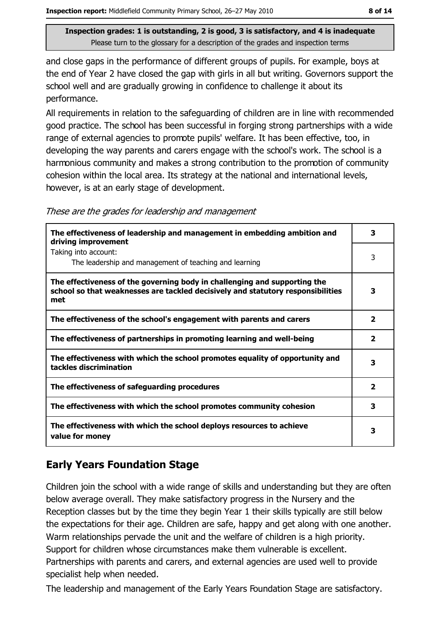and close gaps in the performance of different groups of pupils. For example, boys at the end of Year 2 have closed the gap with girls in all but writing. Governors support the school well and are gradually growing in confidence to challenge it about its performance.

All requirements in relation to the safeguarding of children are in line with recommended good practice. The school has been successful in forging strong partnerships with a wide range of external agencies to promote pupils' welfare. It has been effective, too, in developing the way parents and carers engage with the school's work. The school is a harmonious community and makes a strong contribution to the promotion of community cohesion within the local area. Its strategy at the national and international levels, however, is at an early stage of development.

These are the grades for leadership and management

| The effectiveness of leadership and management in embedding ambition and<br>driving improvement                                                                     | 3            |
|---------------------------------------------------------------------------------------------------------------------------------------------------------------------|--------------|
| Taking into account:<br>The leadership and management of teaching and learning                                                                                      | 3            |
| The effectiveness of the governing body in challenging and supporting the<br>school so that weaknesses are tackled decisively and statutory responsibilities<br>met | 3            |
| The effectiveness of the school's engagement with parents and carers                                                                                                | 2            |
| The effectiveness of partnerships in promoting learning and well-being                                                                                              | $\mathbf{z}$ |
| The effectiveness with which the school promotes equality of opportunity and<br>tackles discrimination                                                              | 3            |
| The effectiveness of safeguarding procedures                                                                                                                        | 2            |
| The effectiveness with which the school promotes community cohesion                                                                                                 | 3            |
| The effectiveness with which the school deploys resources to achieve<br>value for money                                                                             | 3            |

## **Early Years Foundation Stage**

Children join the school with a wide range of skills and understanding but they are often below average overall. They make satisfactory progress in the Nursery and the Reception classes but by the time they begin Year 1 their skills typically are still below the expectations for their age. Children are safe, happy and get along with one another. Warm relationships pervade the unit and the welfare of children is a high priority. Support for children whose circumstances make them vulnerable is excellent. Partnerships with parents and carers, and external agencies are used well to provide specialist help when needed.

The leadership and management of the Early Years Foundation Stage are satisfactory.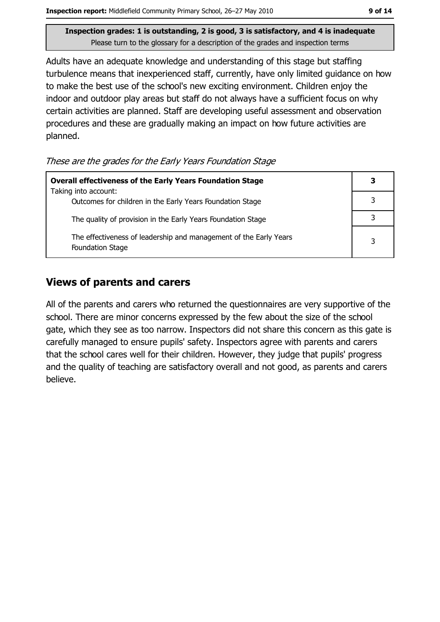Adults have an adequate knowledge and understanding of this stage but staffing turbulence means that inexperienced staff, currently, have only limited guidance on how to make the best use of the school's new exciting environment. Children enjoy the indoor and outdoor play areas but staff do not always have a sufficient focus on why certain activities are planned. Staff are developing useful assessment and observation procedures and these are gradually making an impact on how future activities are planned.

These are the grades for the Early Years Foundation Stage

| <b>Overall effectiveness of the Early Years Foundation Stage</b>                             |  |
|----------------------------------------------------------------------------------------------|--|
| Taking into account:<br>Outcomes for children in the Early Years Foundation Stage            |  |
| The quality of provision in the Early Years Foundation Stage                                 |  |
| The effectiveness of leadership and management of the Early Years<br><b>Foundation Stage</b> |  |

#### **Views of parents and carers**

All of the parents and carers who returned the questionnaires are very supportive of the school. There are minor concerns expressed by the few about the size of the school gate, which they see as too narrow. Inspectors did not share this concern as this gate is carefully managed to ensure pupils' safety. Inspectors agree with parents and carers that the school cares well for their children. However, they judge that pupils' progress and the quality of teaching are satisfactory overall and not good, as parents and carers believe.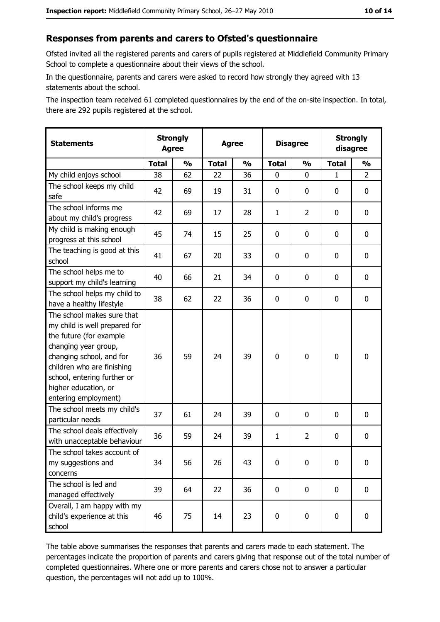#### Responses from parents and carers to Ofsted's questionnaire

Ofsted invited all the registered parents and carers of pupils registered at Middlefield Community Primary School to complete a questionnaire about their views of the school.

In the questionnaire, parents and carers were asked to record how strongly they agreed with 13 statements about the school.

The inspection team received 61 completed questionnaires by the end of the on-site inspection. In total, there are 292 pupils registered at the school.

| <b>Statements</b>                                                                                                                                                                                                                                       | <b>Strongly</b><br><b>Agree</b> |               | <b>Agree</b> |               | <b>Disagree</b> |                | <b>Strongly</b><br>disagree |                |
|---------------------------------------------------------------------------------------------------------------------------------------------------------------------------------------------------------------------------------------------------------|---------------------------------|---------------|--------------|---------------|-----------------|----------------|-----------------------------|----------------|
|                                                                                                                                                                                                                                                         | <b>Total</b>                    | $\frac{1}{2}$ | <b>Total</b> | $\frac{0}{0}$ | <b>Total</b>    | $\frac{0}{0}$  | <b>Total</b>                | $\frac{1}{2}$  |
| My child enjoys school                                                                                                                                                                                                                                  | 38                              | 62            | 22           | 36            | 0               | 0              | $\mathbf{1}$                | $\overline{2}$ |
| The school keeps my child<br>safe                                                                                                                                                                                                                       | 42                              | 69            | 19           | 31            | $\mathbf 0$     | 0              | 0                           | 0              |
| The school informs me<br>about my child's progress                                                                                                                                                                                                      | 42                              | 69            | 17           | 28            | $\mathbf{1}$    | $\overline{2}$ | $\mathbf{0}$                | 0              |
| My child is making enough<br>progress at this school                                                                                                                                                                                                    | 45                              | 74            | 15           | 25            | $\mathbf 0$     | 0              | 0                           | 0              |
| The teaching is good at this<br>school                                                                                                                                                                                                                  | 41                              | 67            | 20           | 33            | $\mathbf 0$     | 0              | 0                           | 0              |
| The school helps me to<br>support my child's learning                                                                                                                                                                                                   | 40                              | 66            | 21           | 34            | $\mathbf 0$     | 0              | 0                           | 0              |
| The school helps my child to<br>have a healthy lifestyle                                                                                                                                                                                                | 38                              | 62            | 22           | 36            | $\mathbf 0$     | 0              | 0                           | 0              |
| The school makes sure that<br>my child is well prepared for<br>the future (for example<br>changing year group,<br>changing school, and for<br>children who are finishing<br>school, entering further or<br>higher education, or<br>entering employment) | 36                              | 59            | 24           | 39            | $\mathbf 0$     | 0              | $\mathbf 0$                 | 0              |
| The school meets my child's<br>particular needs                                                                                                                                                                                                         | 37                              | 61            | 24           | 39            | $\mathbf 0$     | 0              | 0                           | 0              |
| The school deals effectively<br>with unacceptable behaviour                                                                                                                                                                                             | 36                              | 59            | 24           | 39            | $\mathbf{1}$    | $\overline{2}$ | 0                           | 0              |
| The school takes account of<br>my suggestions and<br>concerns                                                                                                                                                                                           | 34                              | 56            | 26           | 43            | $\mathbf 0$     | 0              | 0                           | 0              |
| The school is led and<br>managed effectively                                                                                                                                                                                                            | 39                              | 64            | 22           | 36            | $\mathbf 0$     | 0              | 0                           | $\mathbf 0$    |
| Overall, I am happy with my<br>child's experience at this<br>school                                                                                                                                                                                     | 46                              | 75            | 14           | 23            | $\mathbf 0$     | 0              | $\mathbf 0$                 | 0              |

The table above summarises the responses that parents and carers made to each statement. The percentages indicate the proportion of parents and carers giving that response out of the total number of completed questionnaires. Where one or more parents and carers chose not to answer a particular question, the percentages will not add up to 100%.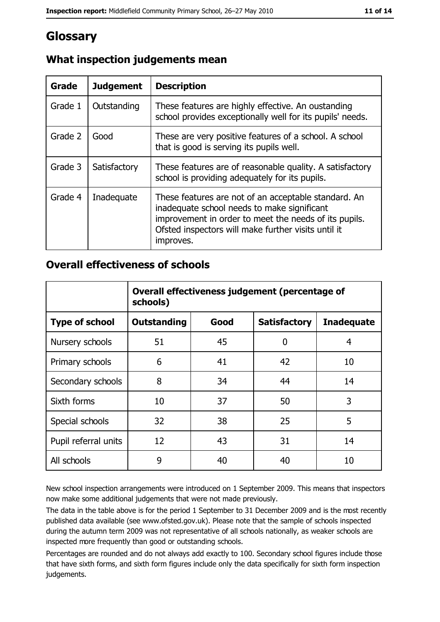# **Glossary**

| <b>Grade</b> | <b>Judgement</b> | <b>Description</b>                                                                                                                                                                                                               |  |  |
|--------------|------------------|----------------------------------------------------------------------------------------------------------------------------------------------------------------------------------------------------------------------------------|--|--|
| Grade 1      | Outstanding      | These features are highly effective. An oustanding<br>school provides exceptionally well for its pupils' needs.                                                                                                                  |  |  |
| Grade 2      | Good             | These are very positive features of a school. A school<br>that is good is serving its pupils well.                                                                                                                               |  |  |
| Grade 3      | Satisfactory     | These features are of reasonable quality. A satisfactory<br>school is providing adequately for its pupils.                                                                                                                       |  |  |
| Grade 4      | Inadequate       | These features are not of an acceptable standard. An<br>inadequate school needs to make significant<br>improvement in order to meet the needs of its pupils.<br>Ofsted inspectors will make further visits until it<br>improves. |  |  |

## What inspection judgements mean

#### **Overall effectiveness of schools**

|                       | Overall effectiveness judgement (percentage of<br>schools) |      |                     |                   |
|-----------------------|------------------------------------------------------------|------|---------------------|-------------------|
| <b>Type of school</b> | <b>Outstanding</b>                                         | Good | <b>Satisfactory</b> | <b>Inadequate</b> |
| Nursery schools       | 51                                                         | 45   | 0                   | 4                 |
| Primary schools       | 6                                                          | 41   | 42                  | 10                |
| Secondary schools     | 8                                                          | 34   | 44                  | 14                |
| Sixth forms           | 10                                                         | 37   | 50                  | 3                 |
| Special schools       | 32                                                         | 38   | 25                  | 5                 |
| Pupil referral units  | 12                                                         | 43   | 31                  | 14                |
| All schools           | 9                                                          | 40   | 40                  | 10                |

New school inspection arrangements were introduced on 1 September 2009. This means that inspectors now make some additional judgements that were not made previously.

The data in the table above is for the period 1 September to 31 December 2009 and is the most recently published data available (see www.ofsted.gov.uk). Please note that the sample of schools inspected during the autumn term 2009 was not representative of all schools nationally, as weaker schools are inspected more frequently than good or outstanding schools.

Percentages are rounded and do not always add exactly to 100. Secondary school figures include those that have sixth forms, and sixth form figures include only the data specifically for sixth form inspection judgements.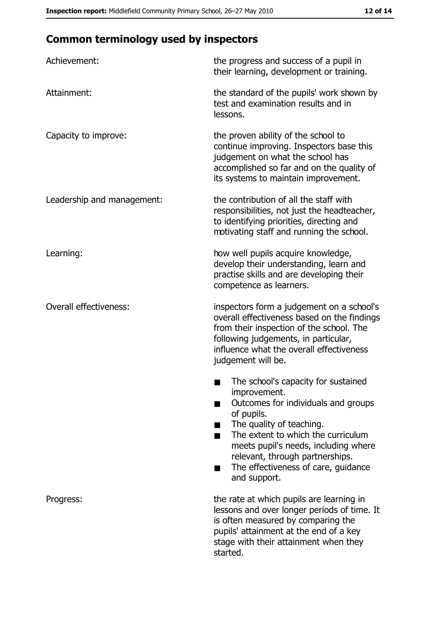# **Common terminology used by inspectors**

| Achievement:                  | the progress and success of a pupil in<br>their learning, development or training.                                                                                                                                                                                                                           |
|-------------------------------|--------------------------------------------------------------------------------------------------------------------------------------------------------------------------------------------------------------------------------------------------------------------------------------------------------------|
| Attainment:                   | the standard of the pupils' work shown by<br>test and examination results and in<br>lessons.                                                                                                                                                                                                                 |
| Capacity to improve:          | the proven ability of the school to<br>continue improving. Inspectors base this<br>judgement on what the school has<br>accomplished so far and on the quality of<br>its systems to maintain improvement.                                                                                                     |
| Leadership and management:    | the contribution of all the staff with<br>responsibilities, not just the headteacher,<br>to identifying priorities, directing and<br>motivating staff and running the school.                                                                                                                                |
| Learning:                     | how well pupils acquire knowledge,<br>develop their understanding, learn and<br>practise skills and are developing their<br>competence as learners.                                                                                                                                                          |
| <b>Overall effectiveness:</b> | inspectors form a judgement on a school's<br>overall effectiveness based on the findings<br>from their inspection of the school. The<br>following judgements, in particular,<br>influence what the overall effectiveness<br>judgement will be.                                                               |
|                               | The school's capacity for sustained<br>improvement.<br>Outcomes for individuals and groups<br>of pupils.<br>The quality of teaching.<br>The extent to which the curriculum<br>meets pupil's needs, including where<br>relevant, through partnerships.<br>The effectiveness of care, guidance<br>and support. |
| Progress:                     | the rate at which pupils are learning in<br>lessons and over longer periods of time. It<br>is often measured by comparing the<br>pupils' attainment at the end of a key<br>stage with their attainment when they<br>started.                                                                                 |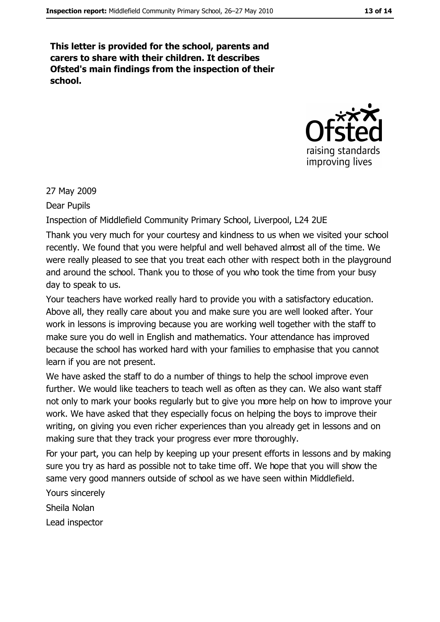This letter is provided for the school, parents and carers to share with their children. It describes Ofsted's main findings from the inspection of their school.



27 May 2009

Dear Pupils

Inspection of Middlefield Community Primary School, Liverpool, L24 2UE

Thank you very much for your courtesy and kindness to us when we visited your school recently. We found that you were helpful and well behaved almost all of the time. We were really pleased to see that you treat each other with respect both in the playground and around the school. Thank you to those of you who took the time from your busy day to speak to us.

Your teachers have worked really hard to provide you with a satisfactory education. Above all, they really care about you and make sure you are well looked after. Your work in lessons is improving because you are working well together with the staff to make sure you do well in English and mathematics. Your attendance has improved because the school has worked hard with your families to emphasise that you cannot learn if you are not present.

We have asked the staff to do a number of things to help the school improve even further. We would like teachers to teach well as often as they can. We also want staff not only to mark your books regularly but to give you more help on how to improve your work. We have asked that they especially focus on helping the boys to improve their writing, on giving you even richer experiences than you already get in lessons and on making sure that they track your progress ever more thoroughly.

For your part, you can help by keeping up your present efforts in lessons and by making sure you try as hard as possible not to take time off. We hope that you will show the same very good manners outside of school as we have seen within Middlefield.

Yours sincerely Sheila Nolan Lead inspector